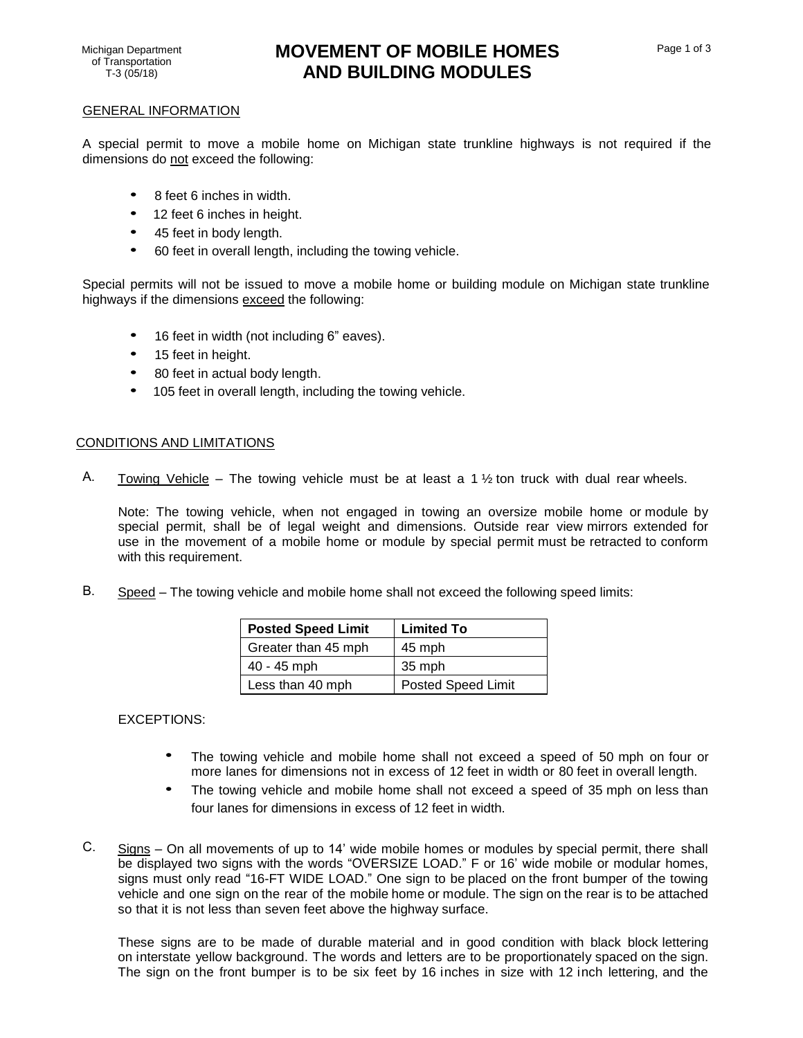# Michigan Department **MOVEMENT OF MOBILE HOMES AND BUILDING MODULES**

### GENERAL INFORMATION

A special permit to move a mobile home on Michigan state trunkline highways is not required if the dimensions do not exceed the following:

- 8 feet 6 inches in width.
- 12 feet 6 inches in height.
- 45 feet in body length.
- 60 feet in overall length, including the towing vehicle.

Special permits will not be issued to move a mobile home or building module on Michigan state trunkline highways if the dimensions exceed the following:

- 16 feet in width (not including 6" eaves).
- 15 feet in height.
- 80 feet in actual body length.
- 105 feet in overall length, including the towing vehicle.

# CONDITIONS AND LIMITATIONS

A. Towing Vehicle – The towing vehicle must be at least a 1  $\frac{1}{2}$  ton truck with dual rear wheels.

Note: The towing vehicle, when not engaged in towing an oversize mobile home or module by special permit, shall be of legal weight and dimensions. Outside rear view mirrors extended for use in the movement of a mobile home or module by special permit must be retracted to conform with this requirement.

B. Speed – The towing vehicle and mobile home shall not exceed the following speed limits:

| <b>Posted Speed Limit</b> | <b>Limited To</b>         |
|---------------------------|---------------------------|
| Greater than 45 mph       | 45 mph                    |
| 40 - 45 mph               | 35 mph                    |
| Less than 40 mph          | <b>Posted Speed Limit</b> |

EXCEPTIONS:

- The towing vehicle and mobile home shall not exceed a speed of 50 mph on four or more lanes for dimensions not in excess of 12 feet in width or 80 feet in overall length.
- The towing vehicle and mobile home shall not exceed a speed of 35 mph on less than four lanes for dimensions in excess of 12 feet in width.
- C. Signs On all movements of up to 14' wide mobile homes or modules by special permit, there shall be displayed two signs with the words "OVERSIZE LOAD." F or 16' wide mobile or modular homes, signs must only read "16-FT WIDE LOAD." One sign to be placed on the front bumper of the towing vehicle and one sign on the rear of the mobile home or module. The sign on the rear is to be attached so that it is not less than seven feet above the highway surface.

These signs are to be made of durable material and in good condition with black block lettering on interstate yellow background. The words and letters are to be proportionately spaced on the sign. The sign on the front bumper is to be six feet by 16 inches in size with 12 inch lettering, and the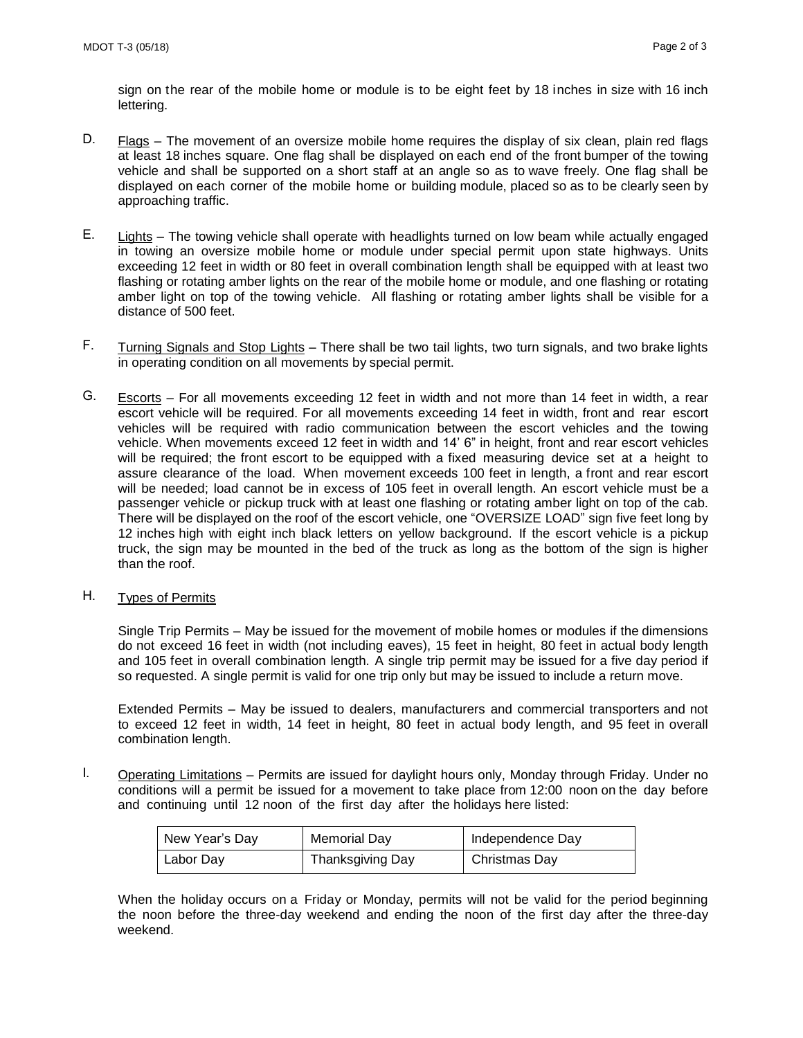sign on the rear of the mobile home or module is to be eight feet by 18 inches in size with 16 inch lettering.

- D. Flags The movement of an oversize mobile home requires the display of six clean, plain red flags at least 18 inches square. One flag shall be displayed on each end of the front bumper of the towing vehicle and shall be supported on a short staff at an angle so as to wave freely. One flag shall be displayed on each corner of the mobile home or building module, placed so as to be clearly seen by approaching traffic.
- E. Lights The towing vehicle shall operate with headlights turned on low beam while actually engaged in towing an oversize mobile home or module under special permit upon state highways. Units exceeding 12 feet in width or 80 feet in overall combination length shall be equipped with at least two flashing or rotating amber lights on the rear of the mobile home or module, and one flashing or rotating amber light on top of the towing vehicle. All flashing or rotating amber lights shall be visible for a distance of 500 feet.
- F. Turning Signals and Stop Lights There shall be two tail lights, two turn signals, and two brake lights in operating condition on all movements by special permit.
- G. Escorts For all movements exceeding 12 feet in width and not more than 14 feet in width, a rear escort vehicle will be required. For all movements exceeding 14 feet in width, front and rear escort vehicles will be required with radio communication between the escort vehicles and the towing vehicle. When movements exceed 12 feet in width and 14' 6" in height, front and rear escort vehicles will be required; the front escort to be equipped with a fixed measuring device set at a height to assure clearance of the load. When movement exceeds 100 feet in length, a front and rear escort will be needed; load cannot be in excess of 105 feet in overall length. An escort vehicle must be a passenger vehicle or pickup truck with at least one flashing or rotating amber light on top of the cab. There will be displayed on the roof of the escort vehicle, one "OVERSIZE LOAD" sign five feet long by 12 inches high with eight inch black letters on yellow background. If the escort vehicle is a pickup truck, the sign may be mounted in the bed of the truck as long as the bottom of the sign is higher than the roof.
- H. Types of Permits

Single Trip Permits – May be issued for the movement of mobile homes or modules if the dimensions do not exceed 16 feet in width (not including eaves), 15 feet in height, 80 feet in actual body length and 105 feet in overall combination length. A single trip permit may be issued for a five day period if so requested. A single permit is valid for one trip only but may be issued to include a return move.

Extended Permits – May be issued to dealers, manufacturers and commercial transporters and not to exceed 12 feet in width, 14 feet in height, 80 feet in actual body length, and 95 feet in overall combination length.

I. Operating Limitations – Permits are issued for daylight hours only, Monday through Friday. Under no conditions will a permit be issued for a movement to take place from 12:00 noon on the day before and continuing until 12 noon of the first day after the holidays here listed:

| New Year's Day | Memorial Day     | Independence Day |
|----------------|------------------|------------------|
| Labor Day      | Thanksgiving Day | Christmas Day    |

When the holiday occurs on a Friday or Monday, permits will not be valid for the period beginning the noon before the three-day weekend and ending the noon of the first day after the three-day weekend.